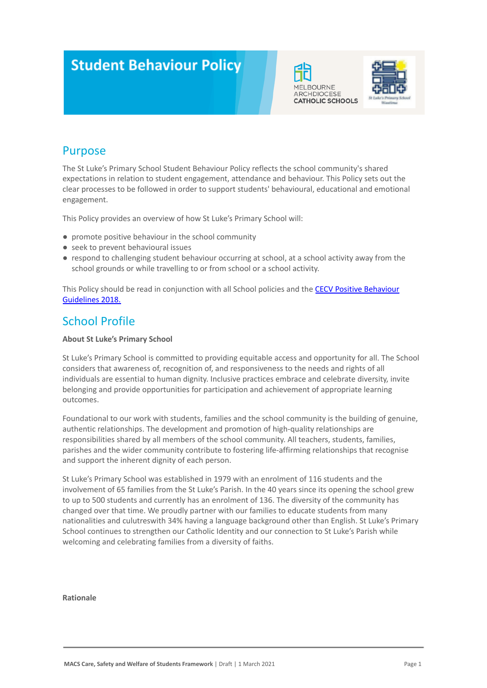# **Student Behaviour Policy**





### Purpose

The St Luke's Primary School Student Behaviour Policy reflects the school community's shared expectations in relation to student engagement, attendance and behaviour. This Policy sets out the clear processes to be followed in order to support students' behavioural, educational and emotional engagement.

This Policy provides an overview of how St Luke's Primary School will:

- promote positive behaviour in the school community
- seek to prevent behavioural issues
- respond to challenging student behaviour occurring at school, at a school activity away from the school grounds or while travelling to or from school or a school activity.

This Policy should be read in conjunction with all School policies and the **[CECV Positive Behaviour](https://www.cecv.catholic.edu.au/getmedia/bc1d235d-9a98-4bb4-b3ac-84b50fa7c639/CECV-Positive-Behaviour-Guidelines_FINAL2.aspx?ext=.pdf)** [Guidelines 2018.](https://www.cecv.catholic.edu.au/getmedia/bc1d235d-9a98-4bb4-b3ac-84b50fa7c639/CECV-Positive-Behaviour-Guidelines_FINAL2.aspx?ext=.pdf)

### School Profile

### **About St Luke's Primary School**

St Luke's Primary School is committed to providing equitable access and opportunity for all. The School considers that awareness of, recognition of, and responsiveness to the needs and rights of all individuals are essential to human dignity. Inclusive practices embrace and celebrate diversity, invite belonging and provide opportunities for participation and achievement of appropriate learning outcomes.

Foundational to our work with students, families and the school community is the building of genuine, authentic relationships. The development and promotion of high-quality relationships are responsibilities shared by all members of the school community. All teachers, students, families, parishes and the wider community contribute to fostering life-affirming relationships that recognise and support the inherent dignity of each person.

St Luke's Primary School was established in 1979 with an enrolment of 116 students and the involvement of 65 families from the St Luke's Parish. In the 40 years since its opening the school grew to up to 500 students and currently has an enrolment of 136. The diversity of the community has changed over that time. We proudly partner with our families to educate students from many nationalities and culutreswith 34% having a language background other than English. St Luke's Primary School continues to strengthen our Catholic Identity and our connection to St Luke's Parish while welcoming and celebrating families from a diversity of faiths.

#### **Rationale**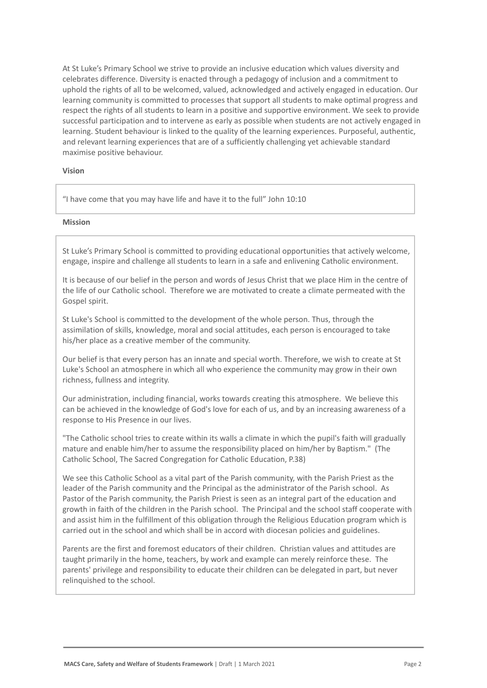At St Luke's Primary School we strive to provide an inclusive education which values diversity and celebrates difference. Diversity is enacted through a pedagogy of inclusion and a commitment to uphold the rights of all to be welcomed, valued, acknowledged and actively engaged in education. Our learning community is committed to processes that support all students to make optimal progress and respect the rights of all students to learn in a positive and supportive environment. We seek to provide successful participation and to intervene as early as possible when students are not actively engaged in learning. Student behaviour is linked to the quality of the learning experiences. Purposeful, authentic, and relevant learning experiences that are of a sufficiently challenging yet achievable standard maximise positive behaviour.

#### **Vision**

"I have come that you may have life and have it to the full" John 10:10

### **Mission**

St Luke's Primary School is committed to providing educational opportunities that actively welcome, engage, inspire and challenge all students to learn in a safe and enlivening Catholic environment.

It is because of our belief in the person and words of Jesus Christ that we place Him in the centre of the life of our Catholic school. Therefore we are motivated to create a climate permeated with the Gospel spirit.

St Luke's School is committed to the development of the whole person. Thus, through the assimilation of skills, knowledge, moral and social attitudes, each person is encouraged to take his/her place as a creative member of the community.

Our belief is that every person has an innate and special worth. Therefore, we wish to create at St Luke's School an atmosphere in which all who experience the community may grow in their own richness, fullness and integrity.

Our administration, including financial, works towards creating this atmosphere. We believe this can be achieved in the knowledge of God's love for each of us, and by an increasing awareness of a response to His Presence in our lives.

"The Catholic school tries to create within its walls a climate in which the pupil's faith will gradually mature and enable him/her to assume the responsibility placed on him/her by Baptism." (The Catholic School, The Sacred Congregation for Catholic Education, P.38)

We see this Catholic School as a vital part of the Parish community, with the Parish Priest as the leader of the Parish community and the Principal as the administrator of the Parish school. As Pastor of the Parish community, the Parish Priest is seen as an integral part of the education and growth in faith of the children in the Parish school. The Principal and the school staff cooperate with and assist him in the fulfillment of this obligation through the Religious Education program which is carried out in the school and which shall be in accord with diocesan policies and guidelines.

Parents are the first and foremost educators of their children. Christian values and attitudes are taught primarily in the home, teachers, by work and example can merely reinforce these. The parents' privilege and responsibility to educate their children can be delegated in part, but never relinquished to the school.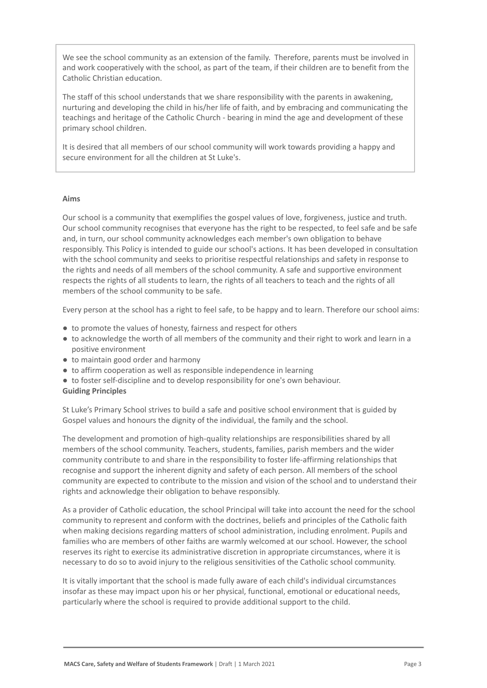We see the school community as an extension of the family. Therefore, parents must be involved in and work cooperatively with the school, as part of the team, if their children are to benefit from the Catholic Christian education.

The staff of this school understands that we share responsibility with the parents in awakening, nurturing and developing the child in his/her life of faith, and by embracing and communicating the teachings and heritage of the Catholic Church - bearing in mind the age and development of these primary school children.

It is desired that all members of our school community will work towards providing a happy and secure environment for all the children at St Luke's.

#### **Aims**

Our school is a community that exemplifies the gospel values of love, forgiveness, justice and truth. Our school community recognises that everyone has the right to be respected, to feel safe and be safe and, in turn, our school community acknowledges each member's own obligation to behave responsibly. This Policy is intended to guide our school's actions. It has been developed in consultation with the school community and seeks to prioritise respectful relationships and safety in response to the rights and needs of all members of the school community. A safe and supportive environment respects the rights of all students to learn, the rights of all teachers to teach and the rights of all members of the school community to be safe.

Every person at the school has a right to feel safe, to be happy and to learn. Therefore our school aims:

- to promote the values of honesty, fairness and respect for others
- to acknowledge the worth of all members of the community and their right to work and learn in a positive environment
- to maintain good order and harmony
- to affirm cooperation as well as responsible independence in learning
- to foster self-discipline and to develop responsibility for one's own behaviour.

### **Guiding Principles**

St Luke's Primary School strives to build a safe and positive school environment that is guided by Gospel values and honours the dignity of the individual, the family and the school.

The development and promotion of high-quality relationships are responsibilities shared by all members of the school community. Teachers, students, families, parish members and the wider community contribute to and share in the responsibility to foster life-affirming relationships that recognise and support the inherent dignity and safety of each person. All members of the school community are expected to contribute to the mission and vision of the school and to understand their rights and acknowledge their obligation to behave responsibly.

As a provider of Catholic education, the school Principal will take into account the need for the school community to represent and conform with the doctrines, beliefs and principles of the Catholic faith when making decisions regarding matters of school administration, including enrolment. Pupils and families who are members of other faiths are warmly welcomed at our school. However, the school reserves its right to exercise its administrative discretion in appropriate circumstances, where it is necessary to do so to avoid injury to the religious sensitivities of the Catholic school community.

It is vitally important that the school is made fully aware of each child's individual circumstances insofar as these may impact upon his or her physical, functional, emotional or educational needs, particularly where the school is required to provide additional support to the child.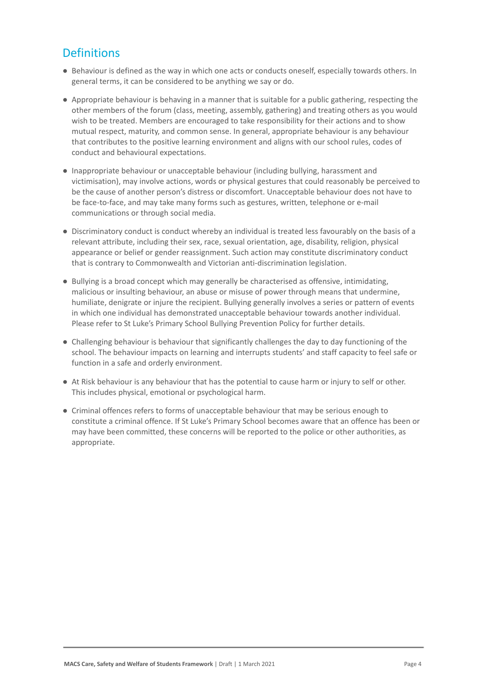# **Definitions**

- Behaviour is defined as the way in which one acts or conducts oneself, especially towards others. In general terms, it can be considered to be anything we say or do.
- Appropriate behaviour is behaving in a manner that is suitable for a public gathering, respecting the other members of the forum (class, meeting, assembly, gathering) and treating others as you would wish to be treated. Members are encouraged to take responsibility for their actions and to show mutual respect, maturity, and common sense. In general, appropriate behaviour is any behaviour that contributes to the positive learning environment and aligns with our school rules, codes of conduct and behavioural expectations.
- Inappropriate behaviour or unacceptable behaviour (including bullying, harassment and victimisation), may involve actions, words or physical gestures that could reasonably be perceived to be the cause of another person's distress or discomfort. Unacceptable behaviour does not have to be face-to-face, and may take many forms such as gestures, written, telephone or e-mail communications or through social media.
- Discriminatory conduct is conduct whereby an individual is treated less favourably on the basis of a relevant attribute, including their sex, race, sexual orientation, age, disability, religion, physical appearance or belief or gender reassignment. Such action may constitute discriminatory conduct that is contrary to Commonwealth and Victorian anti-discrimination legislation.
- Bullying is a broad concept which may generally be characterised as offensive, intimidating, malicious or insulting behaviour, an abuse or misuse of power through means that undermine, humiliate, denigrate or injure the recipient. Bullying generally involves a series or pattern of events in which one individual has demonstrated unacceptable behaviour towards another individual. Please refer to St Luke's Primary School Bullying Prevention Policy for further details.
- Challenging behaviour is behaviour that significantly challenges the day to day functioning of the school. The behaviour impacts on learning and interrupts students' and staff capacity to feel safe or function in a safe and orderly environment.
- At Risk behaviour is any behaviour that has the potential to cause harm or injury to self or other. This includes physical, emotional or psychological harm.
- Criminal offences refers to forms of unacceptable behaviour that may be serious enough to constitute a criminal offence. If St Luke's Primary School becomes aware that an offence has been or may have been committed, these concerns will be reported to the police or other authorities, as appropriate.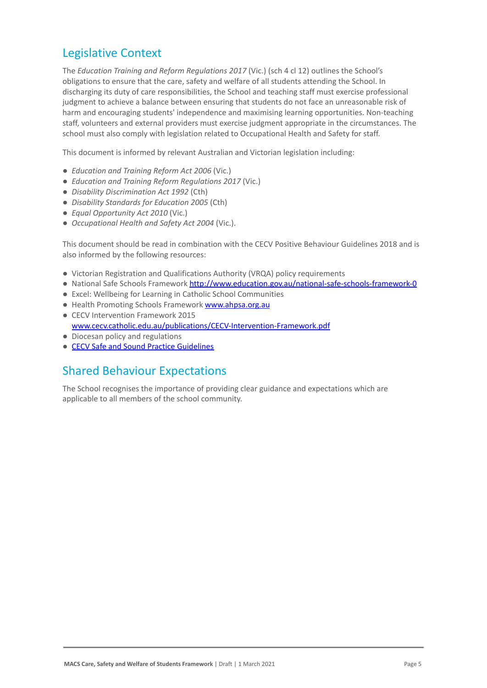### Legislative Context

The *Education Training and Reform Regulations 2017* (Vic.) (sch 4 cl 12) outlines the School's obligations to ensure that the care, safety and welfare of all students attending the School. In discharging its duty of care responsibilities, the School and teaching staff must exercise professional judgment to achieve a balance between ensuring that students do not face an unreasonable risk of harm and encouraging students' independence and maximising learning opportunities. Non-teaching staff, volunteers and external providers must exercise judgment appropriate in the circumstances. The school must also comply with legislation related to Occupational Health and Safety for staff.

This document is informed by relevant Australian and Victorian legislation including:

- *Education and Training Reform Act 2006* (Vic.)
- *Education and Training Reform Regulations 2017* (Vic.)
- *Disability Discrimination Act 1992* (Cth)
- *Disability Standards for Education 2005* (Cth)
- *Equal Opportunity Act 2010* (Vic.)
- *Occupational Health and Safety Act 2004* (Vic.).

This document should be read in combination with the CECV Positive Behaviour Guidelines 2018 and is also informed by the following resources:

- Victorian Registration and Qualifications Authority (VRQA) policy requirements
- National Safe Schools Framework <http://www.education.gov.au/national-safe-schools-framework-0>
- Excel: Wellbeing for Learning in Catholic School Communities
- Health Promoting Schools Framework [www.ahpsa.org.au](http://www.ahpsa.org.au)
- CECV Intervention Framework 2015 [www.cecv.catholic.edu.au/publications/CECV-Intervention-Framework.pdf](http://www.cecv.catholic.edu.au/publications/CECV-Intervention-Framework.pdf)
- Diocesan policy and regulations
- [CECV Safe and Sound Practice Guidelines](https://www.cecv.catholic.edu.au/getmedia/bad5e328-b5f9-4742-a66c-0c7f20ae21ff/Safe-and-Sound-Practice-Guidelines.aspx)

### Shared Behaviour Expectations

The School recognises the importance of providing clear guidance and expectations which are applicable to all members of the school community.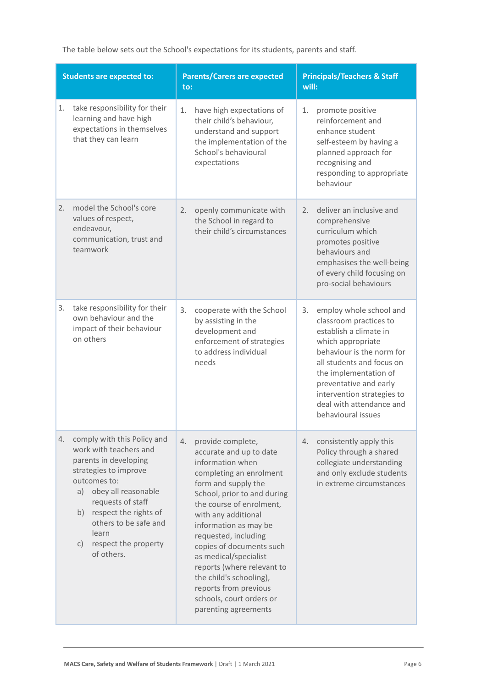The table below sets out the School's expectations for its students, parents and staff.

| <b>Students are expected to:</b>                                                                                                                                                                                                                                                             | <b>Parents/Carers are expected</b><br>to:                                                                                                                                                                                                                                                                                                                                                                                                              | <b>Principals/Teachers &amp; Staff</b><br>will:                                                                                                                                                                                                                                                     |  |
|----------------------------------------------------------------------------------------------------------------------------------------------------------------------------------------------------------------------------------------------------------------------------------------------|--------------------------------------------------------------------------------------------------------------------------------------------------------------------------------------------------------------------------------------------------------------------------------------------------------------------------------------------------------------------------------------------------------------------------------------------------------|-----------------------------------------------------------------------------------------------------------------------------------------------------------------------------------------------------------------------------------------------------------------------------------------------------|--|
| take responsibility for their<br>1.<br>learning and have high<br>expectations in themselves<br>that they can learn                                                                                                                                                                           | have high expectations of<br>1.<br>their child's behaviour,<br>understand and support<br>the implementation of the<br>School's behavioural<br>expectations                                                                                                                                                                                                                                                                                             | 1.<br>promote positive<br>reinforcement and<br>enhance student<br>self-esteem by having a<br>planned approach for<br>recognising and<br>responding to appropriate<br>behaviour                                                                                                                      |  |
| model the School's core<br>2.<br>values of respect,<br>endeavour,<br>communication, trust and<br>teamwork                                                                                                                                                                                    | openly communicate with<br>2.<br>the School in regard to<br>their child's circumstances                                                                                                                                                                                                                                                                                                                                                                | deliver an inclusive and<br>2.<br>comprehensive<br>curriculum which<br>promotes positive<br>behaviours and<br>emphasises the well-being<br>of every child focusing on<br>pro-social behaviours                                                                                                      |  |
| take responsibility for their<br>3.<br>own behaviour and the<br>impact of their behaviour<br>on others                                                                                                                                                                                       | 3.<br>cooperate with the School<br>by assisting in the<br>development and<br>enforcement of strategies<br>to address individual<br>needs                                                                                                                                                                                                                                                                                                               | 3.<br>employ whole school and<br>classroom practices to<br>establish a climate in<br>which appropriate<br>behaviour is the norm for<br>all students and focus on<br>the implementation of<br>preventative and early<br>intervention strategies to<br>deal with attendance and<br>behavioural issues |  |
| comply with this Policy and<br>4.<br>work with teachers and<br>parents in developing<br>strategies to improve<br>outcomes to:<br>obey all reasonable<br>a)<br>requests of staff<br>respect the rights of<br>b)<br>others to be safe and<br>learn<br>respect the property<br>C)<br>of others. | provide complete,<br>4.<br>accurate and up to date<br>information when<br>completing an enrolment<br>form and supply the<br>School, prior to and during<br>the course of enrolment,<br>with any additional<br>information as may be<br>requested, including<br>copies of documents such<br>as medical/specialist<br>reports (where relevant to<br>the child's schooling),<br>reports from previous<br>schools, court orders or<br>parenting agreements | consistently apply this<br>4.<br>Policy through a shared<br>collegiate understanding<br>and only exclude students<br>in extreme circumstances                                                                                                                                                       |  |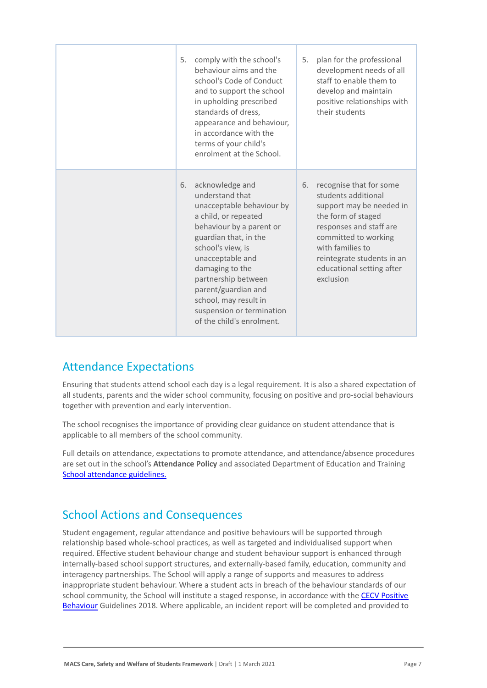| 5. | comply with the school's<br>behaviour aims and the<br>school's Code of Conduct<br>and to support the school<br>in upholding prescribed<br>standards of dress,<br>appearance and behaviour,<br>in accordance with the<br>terms of your child's<br>enrolment at the School.                                                                 | 5. | plan for the professional<br>development needs of all<br>staff to enable them to<br>develop and maintain<br>positive relationships with<br>their students                                                                                       |
|----|-------------------------------------------------------------------------------------------------------------------------------------------------------------------------------------------------------------------------------------------------------------------------------------------------------------------------------------------|----|-------------------------------------------------------------------------------------------------------------------------------------------------------------------------------------------------------------------------------------------------|
| 6. | acknowledge and<br>understand that<br>unacceptable behaviour by<br>a child, or repeated<br>behaviour by a parent or<br>guardian that, in the<br>school's view, is<br>unacceptable and<br>damaging to the<br>partnership between<br>parent/guardian and<br>school, may result in<br>suspension or termination<br>of the child's enrolment. | 6. | recognise that for some<br>students additional<br>support may be needed in<br>the form of staged<br>responses and staff are<br>committed to working<br>with families to<br>reintegrate students in an<br>educational setting after<br>exclusion |

### Attendance Expectations

Ensuring that students attend school each day is a legal requirement. It is also a shared expectation of all students, parents and the wider school community, focusing on positive and pro-social behaviours together with prevention and early intervention.

The school recognises the importance of providing clear guidance on student attendance that is applicable to all members of the school community.

Full details on attendance, expectations to promote attendance, and attendance/absence procedures are set out in the school's **Attendance Policy** and associated Department of Education and Training [School attendance guidelines.](https://www2.education.vic.gov.au/pal/attendance/guidance)

### School Actions and Consequences

Student engagement, regular attendance and positive behaviours will be supported through relationship based whole-school practices, as well as targeted and individualised support when required. Effective student behaviour change and student behaviour support is enhanced through internally-based school support structures, and externally-based family, education, community and interagency partnerships. The School will apply a range of supports and measures to address inappropriate student behaviour. Where a student acts in breach of the behaviour standards of our school community, the School will institute a staged response, in accordance with the [CECV Positive](https://www.cecv.catholic.edu.au/getmedia/bc1d235d-9a98-4bb4-b3ac-84b50fa7c639/CECV-Positive-Behaviour-Guidelines_FINAL2.aspx?ext=.pdf) [Behaviour](https://www.cecv.catholic.edu.au/getmedia/bc1d235d-9a98-4bb4-b3ac-84b50fa7c639/CECV-Positive-Behaviour-Guidelines_FINAL2.aspx?ext=.pdf) Guidelines 2018. Where applicable, an incident report will be completed and provided to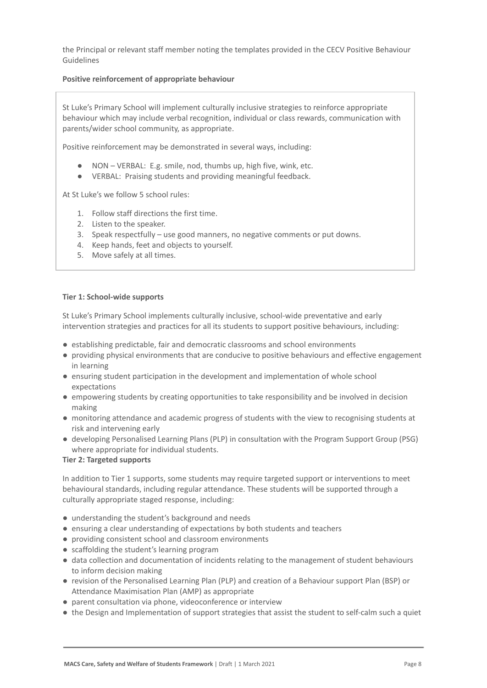the Principal or relevant staff member noting the templates provided in the CECV Positive Behaviour Guidelines

### **Positive reinforcement of appropriate behaviour**

St Luke's Primary School will implement culturally inclusive strategies to reinforce appropriate behaviour which may include verbal recognition, individual or class rewards, communication with parents/wider school community, as appropriate.

Positive reinforcement may be demonstrated in several ways, including:

- NON VERBAL: E.g. smile, nod, thumbs up, high five, wink, etc.
- VERBAL: Praising students and providing meaningful feedback.

At St Luke's we follow 5 school rules:

- 1. Follow staff directions the first time.
- 2. Listen to the speaker.
- 3. Speak respectfully use good manners, no negative comments or put downs.
- 4. Keep hands, feet and objects to yourself.
- 5. Move safely at all times.

#### **Tier 1: School-wide supports**

St Luke's Primary School implements culturally inclusive, school-wide preventative and early intervention strategies and practices for all its students to support positive behaviours, including:

- establishing predictable, fair and democratic classrooms and school environments
- providing physical environments that are conducive to positive behaviours and effective engagement in learning
- ensuring student participation in the development and implementation of whole school expectations
- empowering students by creating opportunities to take responsibility and be involved in decision making
- monitoring attendance and academic progress of students with the view to recognising students at risk and intervening early
- developing Personalised Learning Plans (PLP) in consultation with the Program Support Group (PSG) where appropriate for individual students.

#### **Tier 2: Targeted supports**

In addition to Tier 1 supports, some students may require targeted support or interventions to meet behavioural standards, including regular attendance. These students will be supported through a culturally appropriate staged response, including:

- understanding the student's background and needs
- ensuring a clear understanding of expectations by both students and teachers
- providing consistent school and classroom environments
- scaffolding the student's learning program
- data collection and documentation of incidents relating to the management of student behaviours to inform decision making
- revision of the Personalised Learning Plan (PLP) and creation of a Behaviour support Plan (BSP) or Attendance Maximisation Plan (AMP) as appropriate
- parent consultation via phone, videoconference or interview
- the Design and Implementation of support strategies that assist the student to self-calm such a quiet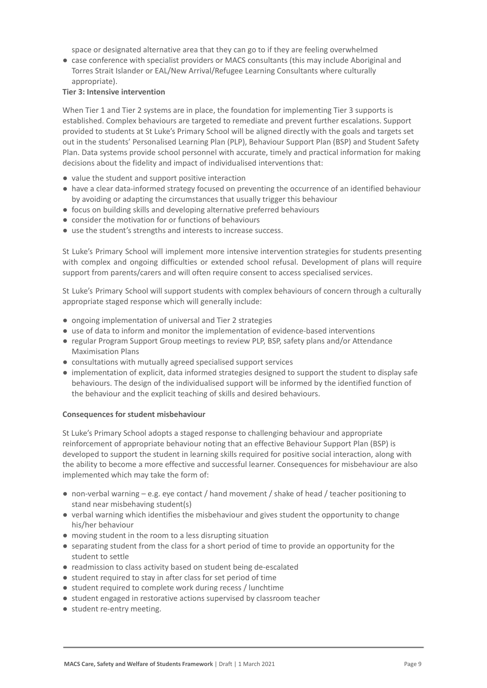space or designated alternative area that they can go to if they are feeling overwhelmed

● case conference with specialist providers or MACS consultants (this may include Aboriginal and Torres Strait Islander or EAL/New Arrival/Refugee Learning Consultants where culturally appropriate).

#### **Tier 3: Intensive intervention**

When Tier 1 and Tier 2 systems are in place, the foundation for implementing Tier 3 supports is established. Complex behaviours are targeted to remediate and prevent further escalations. Support provided to students at St Luke's Primary School will be aligned directly with the goals and targets set out in the students' Personalised Learning Plan (PLP), Behaviour Support Plan (BSP) and Student Safety Plan. Data systems provide school personnel with accurate, timely and practical information for making decisions about the fidelity and impact of individualised interventions that:

- value the student and support positive interaction
- have a clear data-informed strategy focused on preventing the occurrence of an identified behaviour by avoiding or adapting the circumstances that usually trigger this behaviour
- focus on building skills and developing alternative preferred behaviours
- consider the motivation for or functions of behaviours
- use the student's strengths and interests to increase success.

St Luke's Primary School will implement more intensive intervention strategies for students presenting with complex and ongoing difficulties or extended school refusal. Development of plans will require support from parents/carers and will often require consent to access specialised services.

St Luke's Primary School will support students with complex behaviours of concern through a culturally appropriate staged response which will generally include:

- ongoing implementation of universal and Tier 2 strategies
- use of data to inform and monitor the implementation of evidence-based interventions
- regular Program Support Group meetings to review PLP, BSP, safety plans and/or Attendance Maximisation Plans
- consultations with mutually agreed specialised support services
- implementation of explicit, data informed strategies designed to support the student to display safe behaviours. The design of the individualised support will be informed by the identified function of the behaviour and the explicit teaching of skills and desired behaviours.

### **Consequences for student misbehaviour**

St Luke's Primary School adopts a staged response to challenging behaviour and appropriate reinforcement of appropriate behaviour noting that an effective Behaviour Support Plan (BSP) is developed to support the student in learning skills required for positive social interaction, along with the ability to become a more effective and successful learner. Consequences for misbehaviour are also implemented which may take the form of:

- non-verbal warning e.g. eye contact / hand movement / shake of head / teacher positioning to stand near misbehaving student(s)
- verbal warning which identifies the misbehaviour and gives student the opportunity to change his/her behaviour
- moving student in the room to a less disrupting situation
- separating student from the class for a short period of time to provide an opportunity for the student to settle
- readmission to class activity based on student being de-escalated
- student required to stay in after class for set period of time
- student required to complete work during recess / lunchtime
- student engaged in restorative actions supervised by classroom teacher
- student re-entry meeting.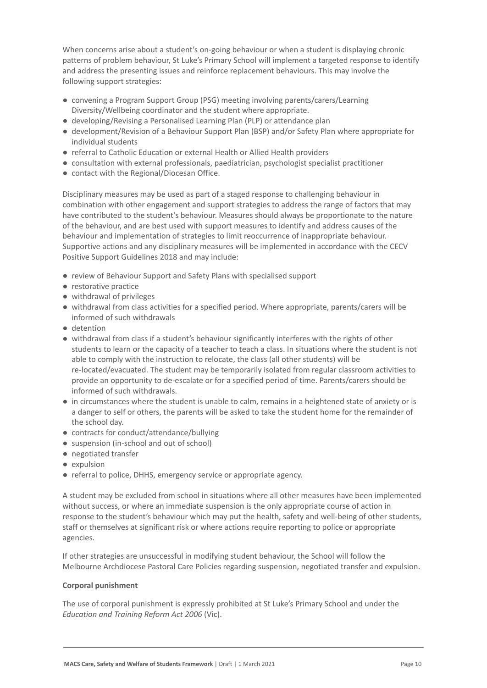When concerns arise about a student's on-going behaviour or when a student is displaying chronic patterns of problem behaviour, St Luke's Primary School will implement a targeted response to identify and address the presenting issues and reinforce replacement behaviours. This may involve the following support strategies:

- convening a Program Support Group (PSG) meeting involving parents/carers/Learning Diversity/Wellbeing coordinator and the student where appropriate.
- developing/Revising a Personalised Learning Plan (PLP) or attendance plan
- development/Revision of a Behaviour Support Plan (BSP) and/or Safety Plan where appropriate for individual students
- referral to Catholic Education or external Health or Allied Health providers
- consultation with external professionals, paediatrician, psychologist specialist practitioner
- contact with the Regional/Diocesan Office.

Disciplinary measures may be used as part of a staged response to challenging behaviour in combination with other engagement and support strategies to address the range of factors that may have contributed to the student's behaviour. Measures should always be proportionate to the nature of the behaviour, and are best used with support measures to identify and address causes of the behaviour and implementation of strategies to limit reoccurrence of inappropriate behaviour. Supportive actions and any disciplinary measures will be implemented in accordance with the CECV Positive Support Guidelines 2018 and may include:

- review of Behaviour Support and Safety Plans with specialised support
- restorative practice
- withdrawal of privileges
- withdrawal from class activities for a specified period. Where appropriate, parents/carers will be informed of such withdrawals
- detention
- withdrawal from class if a student's behaviour significantly interferes with the rights of other students to learn or the capacity of a teacher to teach a class. In situations where the student is not able to comply with the instruction to relocate, the class (all other students) will be re-located/evacuated. The student may be temporarily isolated from regular classroom activities to provide an opportunity to de-escalate or for a specified period of time. Parents/carers should be informed of such withdrawals.
- in circumstances where the student is unable to calm, remains in a heightened state of anxiety or is a danger to self or others, the parents will be asked to take the student home for the remainder of the school day.
- contracts for conduct/attendance/bullying
- suspension (in-school and out of school)
- negotiated transfer
- expulsion
- referral to police, DHHS, emergency service or appropriate agency.

A student may be excluded from school in situations where all other measures have been implemented without success, or where an immediate suspension is the only appropriate course of action in response to the student's behaviour which may put the health, safety and well-being of other students, staff or themselves at significant risk or where actions require reporting to police or appropriate agencies.

If other strategies are unsuccessful in modifying student behaviour, the School will follow the Melbourne Archdiocese Pastoral Care Policies regarding suspension, negotiated transfer and expulsion.

### **Corporal punishment**

The use of corporal punishment is expressly prohibited at St Luke's Primary School and under the *Education and Training Reform Act 2006* (Vic).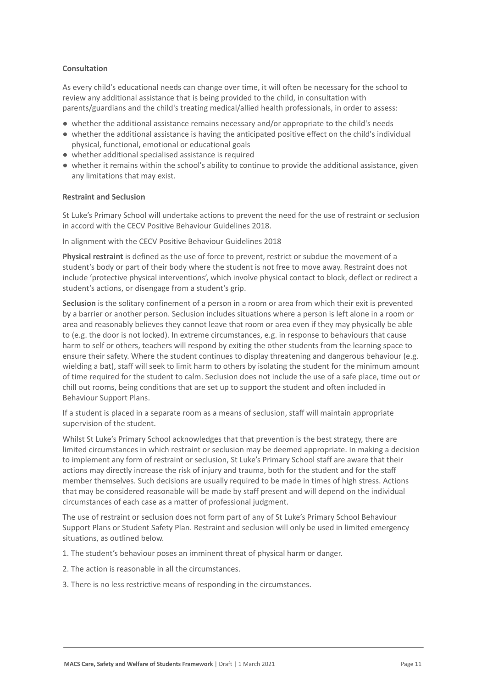### **Consultation**

As every child's educational needs can change over time, it will often be necessary for the school to review any additional assistance that is being provided to the child, in consultation with parents/guardians and the child's treating medical/allied health professionals, in order to assess:

- whether the additional assistance remains necessary and/or appropriate to the child's needs
- whether the additional assistance is having the anticipated positive effect on the child's individual physical, functional, emotional or educational goals
- whether additional specialised assistance is required
- whether it remains within the school's ability to continue to provide the additional assistance, given any limitations that may exist.

#### **Restraint and Seclusion**

St Luke's Primary School will undertake actions to prevent the need for the use of restraint or seclusion in accord with the CECV Positive Behaviour Guidelines 2018.

In alignment with the CECV Positive Behaviour Guidelines 2018

**Physical restraint** is defined as the use of force to prevent, restrict or subdue the movement of a student's body or part of their body where the student is not free to move away. Restraint does not include 'protective physical interventions', which involve physical contact to block, deflect or redirect a student's actions, or disengage from a student's grip.

**Seclusion** is the solitary confinement of a person in a room or area from which their exit is prevented by a barrier or another person. Seclusion includes situations where a person is left alone in a room or area and reasonably believes they cannot leave that room or area even if they may physically be able to (e.g. the door is not locked). In extreme circumstances, e.g. in response to behaviours that cause harm to self or others, teachers will respond by exiting the other students from the learning space to ensure their safety. Where the student continues to display threatening and dangerous behaviour (e.g. wielding a bat), staff will seek to limit harm to others by isolating the student for the minimum amount of time required for the student to calm. Seclusion does not include the use of a safe place, time out or chill out rooms, being conditions that are set up to support the student and often included in Behaviour Support Plans.

If a student is placed in a separate room as a means of seclusion, staff will maintain appropriate supervision of the student.

Whilst St Luke's Primary School acknowledges that that prevention is the best strategy, there are limited circumstances in which restraint or seclusion may be deemed appropriate. In making a decision to implement any form of restraint or seclusion, St Luke's Primary School staff are aware that their actions may directly increase the risk of injury and trauma, both for the student and for the staff member themselves. Such decisions are usually required to be made in times of high stress. Actions that may be considered reasonable will be made by staff present and will depend on the individual circumstances of each case as a matter of professional judgment.

The use of restraint or seclusion does not form part of any of St Luke's Primary School Behaviour Support Plans or Student Safety Plan. Restraint and seclusion will only be used in limited emergency situations, as outlined below.

1. The student's behaviour poses an imminent threat of physical harm or danger.

- 2. The action is reasonable in all the circumstances.
- 3. There is no less restrictive means of responding in the circumstances.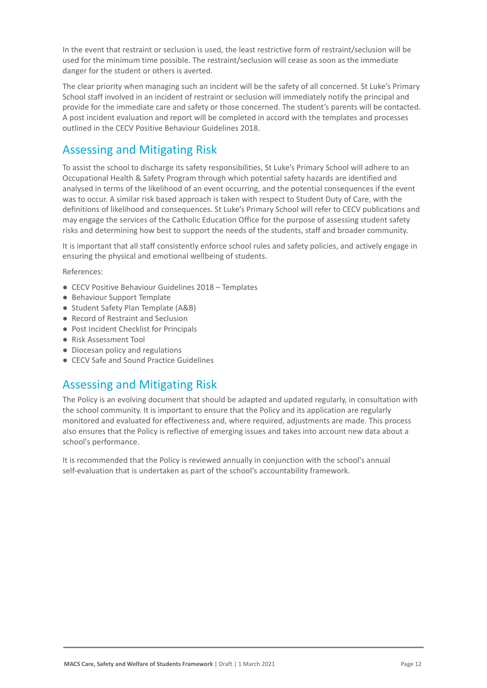In the event that restraint or seclusion is used, the least restrictive form of restraint/seclusion will be used for the minimum time possible. The restraint/seclusion will cease as soon as the immediate danger for the student or others is averted.

The clear priority when managing such an incident will be the safety of all concerned. St Luke's Primary School staff involved in an incident of restraint or seclusion will immediately notify the principal and provide for the immediate care and safety or those concerned. The student's parents will be contacted. A post incident evaluation and report will be completed in accord with the templates and processes outlined in the CECV Positive Behaviour Guidelines 2018.

# Assessing and Mitigating Risk

To assist the school to discharge its safety responsibilities, St Luke's Primary School will adhere to an Occupational Health & Safety Program through which potential safety hazards are identified and analysed in terms of the likelihood of an event occurring, and the potential consequences if the event was to occur. A similar risk based approach is taken with respect to Student Duty of Care, with the definitions of likelihood and consequences. St Luke's Primary School will refer to CECV publications and may engage the services of the Catholic Education Office for the purpose of assessing student safety risks and determining how best to support the needs of the students, staff and broader community.

It is important that all staff consistently enforce school rules and safety policies, and actively engage in ensuring the physical and emotional wellbeing of students.

References:

- CECV Positive Behaviour Guidelines 2018 Templates
- Behaviour Support Template
- Student Safety Plan Template (A&B)
- Record of Restraint and Seclusion
- Post Incident Checklist for Principals
- Risk Assessment Tool
- Diocesan policy and regulations
- CECV Safe and Sound Practice Guidelines

### Assessing and Mitigating Risk

The Policy is an evolving document that should be adapted and updated regularly, in consultation with the school community. It is important to ensure that the Policy and its application are regularly monitored and evaluated for effectiveness and, where required, adjustments are made. This process also ensures that the Policy is reflective of emerging issues and takes into account new data about a school's performance.

It is recommended that the Policy is reviewed annually in conjunction with the school's annual self-evaluation that is undertaken as part of the school's accountability framework.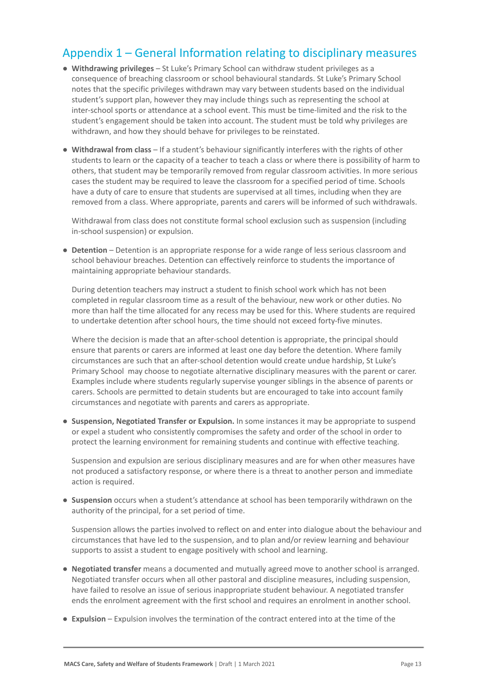# Appendix 1 – General Information relating to disciplinary measures

- **Withdrawing privileges** St Luke's Primary School can withdraw student privileges as a consequence of breaching classroom or school behavioural standards. St Luke's Primary School notes that the specific privileges withdrawn may vary between students based on the individual student's support plan, however they may include things such as representing the school at inter-school sports or attendance at a school event. This must be time-limited and the risk to the student's engagement should be taken into account. The student must be told why privileges are withdrawn, and how they should behave for privileges to be reinstated.
- **Withdrawal from class** If a student's behaviour significantly interferes with the rights of other students to learn or the capacity of a teacher to teach a class or where there is possibility of harm to others, that student may be temporarily removed from regular classroom activities. In more serious cases the student may be required to leave the classroom for a specified period of time. Schools have a duty of care to ensure that students are supervised at all times, including when they are removed from a class. Where appropriate, parents and carers will be informed of such withdrawals.

Withdrawal from class does not constitute formal school exclusion such as suspension (including in-school suspension) or expulsion.

● **Detention** – Detention is an appropriate response for a wide range of less serious classroom and school behaviour breaches. Detention can effectively reinforce to students the importance of maintaining appropriate behaviour standards.

During detention teachers may instruct a student to finish school work which has not been completed in regular classroom time as a result of the behaviour, new work or other duties. No more than half the time allocated for any recess may be used for this. Where students are required to undertake detention after school hours, the time should not exceed forty-five minutes.

Where the decision is made that an after-school detention is appropriate, the principal should ensure that parents or carers are informed at least one day before the detention. Where family circumstances are such that an after-school detention would create undue hardship, St Luke's Primary School may choose to negotiate alternative disciplinary measures with the parent or carer. Examples include where students regularly supervise younger siblings in the absence of parents or carers. Schools are permitted to detain students but are encouraged to take into account family circumstances and negotiate with parents and carers as appropriate.

● **Suspension, Negotiated Transfer or Expulsion.** In some instances it may be appropriate to suspend or expel a student who consistently compromises the safety and order of the school in order to protect the learning environment for remaining students and continue with effective teaching.

Suspension and expulsion are serious disciplinary measures and are for when other measures have not produced a satisfactory response, or where there is a threat to another person and immediate action is required.

● **Suspension** occurs when a student's attendance at school has been temporarily withdrawn on the authority of the principal, for a set period of time.

Suspension allows the parties involved to reflect on and enter into dialogue about the behaviour and circumstances that have led to the suspension, and to plan and/or review learning and behaviour supports to assist a student to engage positively with school and learning.

- **Negotiated transfer** means a documented and mutually agreed move to another school is arranged. Negotiated transfer occurs when all other pastoral and discipline measures, including suspension, have failed to resolve an issue of serious inappropriate student behaviour. A negotiated transfer ends the enrolment agreement with the first school and requires an enrolment in another school.
- **Expulsion** Expulsion involves the termination of the contract entered into at the time of the